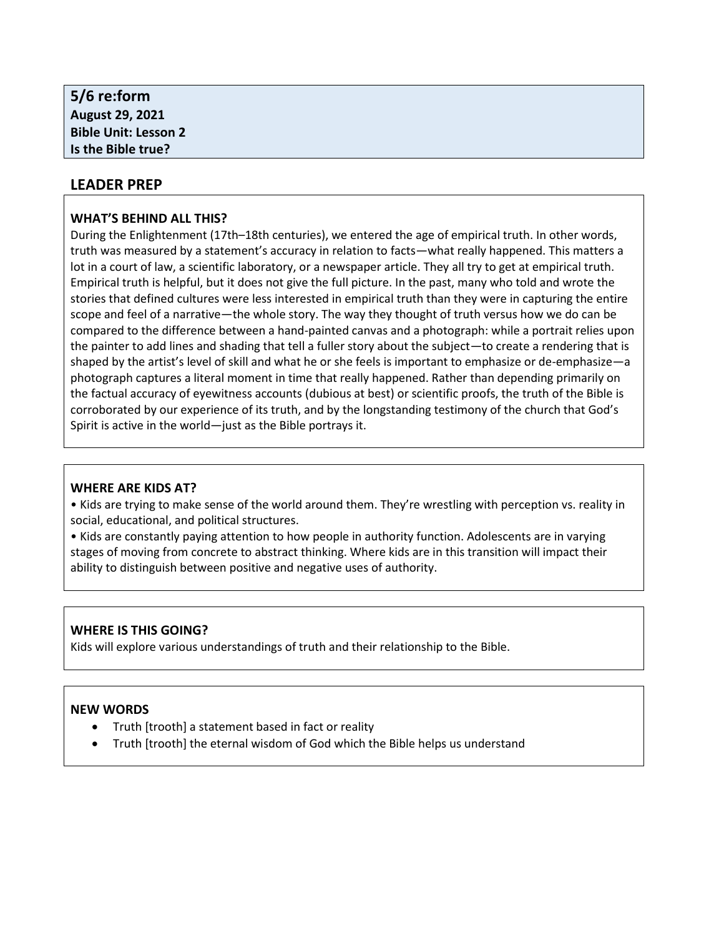| 5/6 re:form                 |  |  |
|-----------------------------|--|--|
| <b>August 29, 2021</b>      |  |  |
| <b>Bible Unit: Lesson 2</b> |  |  |
| Is the Bible true?          |  |  |
|                             |  |  |

## **LEADER PREP**

### **WHAT'S BEHIND ALL THIS?**

During the Enlightenment (17th–18th centuries), we entered the age of empirical truth. In other words, truth was measured by a statement's accuracy in relation to facts—what really happened. This matters a lot in a court of law, a scientific laboratory, or a newspaper article. They all try to get at empirical truth. Empirical truth is helpful, but it does not give the full picture. In the past, many who told and wrote the stories that defined cultures were less interested in empirical truth than they were in capturing the entire scope and feel of a narrative—the whole story. The way they thought of truth versus how we do can be compared to the difference between a hand-painted canvas and a photograph: while a portrait relies upon the painter to add lines and shading that tell a fuller story about the subject—to create a rendering that is shaped by the artist's level of skill and what he or she feels is important to emphasize or de-emphasize—a photograph captures a literal moment in time that really happened. Rather than depending primarily on the factual accuracy of eyewitness accounts (dubious at best) or scientific proofs, the truth of the Bible is corroborated by our experience of its truth, and by the longstanding testimony of the church that God's Spirit is active in the world—just as the Bible portrays it.

### **WHERE ARE KIDS AT?**

• Kids are trying to make sense of the world around them. They're wrestling with perception vs. reality in social, educational, and political structures.

• Kids are constantly paying attention to how people in authority function. Adolescents are in varying stages of moving from concrete to abstract thinking. Where kids are in this transition will impact their ability to distinguish between positive and negative uses of authority.

## **WHERE IS THIS GOING?**

Kids will explore various understandings of truth and their relationship to the Bible.

### **NEW WORDS**

- Truth [trooth] a statement based in fact or reality
- Truth [trooth] the eternal wisdom of God which the Bible helps us understand